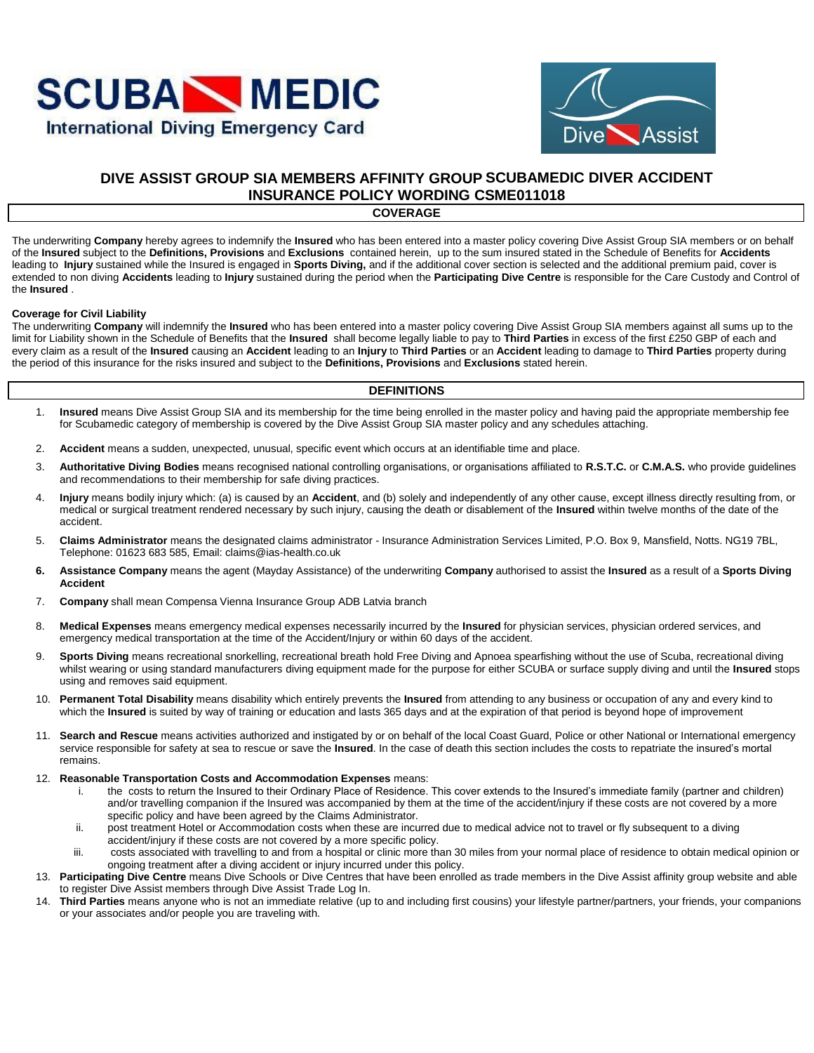



## **DIVE ASSIST GROUP SIA MEMBERS AFFINITY GROUP SCUBAMEDIC DIVER ACCIDENT INSURANCE POLICY WORDING CSME011018**

#### **COVERAGE**

The underwriting **Company** hereby agrees to indemnify the **Insured** who has been entered into a master policy covering Dive Assist Group SIA members or on behalf of the **Insured** subject to the **Definitions, Provisions** and **Exclusions** contained herein, up to the sum insured stated in the Schedule of Benefits for **Accidents**  leading to **Injury** sustained while the Insured is engaged in **Sports Diving,** and if the additional cover section is selected and the additional premium paid, cover is extended to non diving **Accidents** leading to **Injury** sustained during the period when the **Participating Dive Centre** is responsible for the Care Custody and Control of the **Insured** .

#### **Coverage for Civil Liability**

The underwriting **Company** will indemnify the **Insured** who has been entered into a master policy covering Dive Assist Group SIA members against all sums up to the limit for Liability shown in the Schedule of Benefits that the **Insured** shall become legally liable to pay to **Third Parties** in excess of the first £250 GBP of each and every claim as a result of the **Insured** causing an **Accident** leading to an **Injury** to **Third Parties** or an **Accident** leading to damage to **Third Parties** property during the period of this insurance for the risks insured and subject to the **Definitions, Provisions** and **Exclusions** stated herein.

#### **DEFINITIONS**

- 1. **Insured** means Dive Assist Group SIA and its membership for the time being enrolled in the master policy and having paid the appropriate membership fee for Scubamedic category of membership is covered by the Dive Assist Group SIA master policy and any schedules attaching.
- 2. **Accident** means a sudden, unexpected, unusual, specific event which occurs at an identifiable time and place.
- 3. **Authoritative Diving Bodies** means recognised national controlling organisations, or organisations affiliated to **R.S.T.C.** or **C.M.A.S.** who provide guidelines and recommendations to their membership for safe diving practices.
- 4. **Injury** means bodily injury which: (a) is caused by an **Accident**, and (b) solely and independently of any other cause, except illness directly resulting from, or medical or surgical treatment rendered necessary by such injury, causing the death or disablement of the **Insured** within twelve months of the date of the accident.
- 5. **Claims Administrator** means the designated claims administrator Insurance Administration Services Limited, P.O. Box 9, Mansfield, Notts. NG19 7BL, Telephone: 01623 683 585, Email: claims@ias-health.co.uk
- **6. Assistance Company** means the agent (Mayday Assistance) of the underwriting **Company** authorised to assist the **Insured** as a result of a **Sports Diving Accident**
- 7. **Company** shall mean Compensa Vienna Insurance Group ADB Latvia branch
- 8. **Medical Expenses** means emergency medical expenses necessarily incurred by the **Insured** for physician services, physician ordered services, and emergency medical transportation at the time of the Accident/Injury or within 60 days of the accident.
- 9. **Sports Diving** means recreational snorkelling, recreational breath hold Free Diving and Apnoea spearfishing without the use of Scuba, recreational diving whilst wearing or using standard manufacturers diving equipment made for the purpose for either SCUBA or surface supply diving and until the **Insured** stops using and removes said equipment.
- 10. **Permanent Total Disability** means disability which entirely prevents the **Insured** from attending to any business or occupation of any and every kind to which the **Insured** is suited by way of training or education and lasts 365 days and at the expiration of that period is beyond hope of improvement
- 11. **Search and Rescue** means activities authorized and instigated by or on behalf of the local Coast Guard, Police or other National or International emergency service responsible for safety at sea to rescue or save the **Insured**. In the case of death this section includes the costs to repatriate the insured's mortal remains.
- 12. **Reasonable Transportation Costs and Accommodation Expenses** means:
	- i. the costs to return the Insured to their Ordinary Place of Residence. This cover extends to the Insured's immediate family (partner and children) and/or travelling companion if the Insured was accompanied by them at the time of the accident/injury if these costs are not covered by a more specific policy and have been agreed by the Claims Administrator.
	- ii. post treatment Hotel or Accommodation costs when these are incurred due to medical advice not to travel or fly subsequent to a diving accident/injury if these costs are not covered by a more specific policy.
	- iii. costs associated with travelling to and from a hospital or clinic more than 30 miles from your normal place of residence to obtain medical opinion or ongoing treatment after a diving accident or injury incurred under this policy.
- 13. **Participating Dive Centre** means Dive Schools or Dive Centres that have been enrolled as trade members in the Dive Assist affinity group website and able to register Dive Assist members through Dive Assist Trade Log In.
- 14. **Third Parties** means anyone who is not an immediate relative (up to and including first cousins) your lifestyle partner/partners, your friends, your companions or your associates and/or people you are traveling with.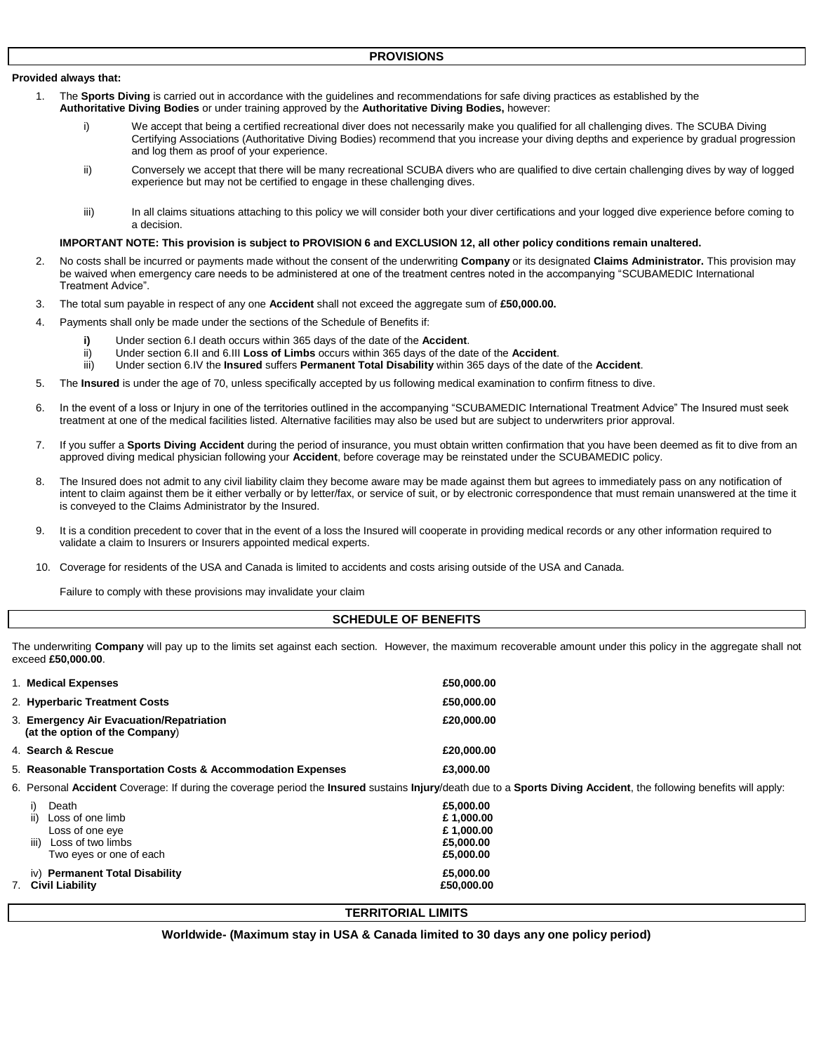#### **Provided always that:**

- 1. The **Sports Diving** is carried out in accordance with the guidelines and recommendations for safe diving practices as established by the **Authoritative Diving Bodies** or under training approved by the **Authoritative Diving Bodies,** however:
	- i) We accept that being a certified recreational diver does not necessarily make you qualified for all challenging dives. The SCUBA Diving Certifying Associations (Authoritative Diving Bodies) recommend that you increase your diving depths and experience by gradual progression and log them as proof of your experience.
	- ii) Conversely we accept that there will be many recreational SCUBA divers who are qualified to dive certain challenging dives by way of logged experience but may not be certified to engage in these challenging dives.
	- iii) In all claims situations attaching to this policy we will consider both your diver certifications and your logged dive experience before coming to a decision.

#### **IMPORTANT NOTE: This provision is subject to PROVISION 6 and EXCLUSION 12, all other policy conditions remain unaltered.**

- 2. No costs shall be incurred or payments made without the consent of the underwriting **Company** or its designated **Claims Administrator.** This provision may be waived when emergency care needs to be administered at one of the treatment centres noted in the accompanying "SCUBAMEDIC International Treatment Advice".
- 3. The total sum payable in respect of any one **Accident** shall not exceed the aggregate sum of **£50,000.00.**
- 4. Payments shall only be made under the sections of the Schedule of Benefits if:
	- **i)** Under section 6.I death occurs within 365 days of the date of the **Accident**.
	- ii) Under section 6.II and 6.III **Loss of Limbs** occurs within 365 days of the date of the **Accident**.
	- iii) Under section 6.IV the **Insured** suffers **Permanent Total Disability** within 365 days of the date of the **Accident**.
- 5. The **Insured** is under the age of 70, unless specifically accepted by us following medical examination to confirm fitness to dive.
- 6. In the event of a loss or Injury in one of the territories outlined in the accompanying "SCUBAMEDIC International Treatment Advice" The Insured must seek treatment at one of the medical facilities listed. Alternative facilities may also be used but are subject to underwriters prior approval.
- 7. If you suffer a **Sports Diving Accident** during the period of insurance, you must obtain written confirmation that you have been deemed as fit to dive from an approved diving medical physician following your **Accident**, before coverage may be reinstated under the SCUBAMEDIC policy.
- 8. The Insured does not admit to any civil liability claim they become aware may be made against them but agrees to immediately pass on any notification of intent to claim against them be it either verbally or by letter/fax, or service of suit, or by electronic correspondence that must remain unanswered at the time it is conveyed to the Claims Administrator by the Insured.
- 9. It is a condition precedent to cover that in the event of a loss the Insured will cooperate in providing medical records or any other information required to validate a claim to Insurers or Insurers appointed medical experts.
- 10. Coverage for residents of the USA and Canada is limited to accidents and costs arising outside of the USA and Canada.

Failure to comply with these provisions may invalidate your claim

#### **SCHEDULE OF BENEFITS**

The underwriting **Company** will pay up to the limits set against each section. However, the maximum recoverable amount under this policy in the aggregate shall not exceed **£50,000.00**.

| 1. Medical Expenses                                                                                                                                                | £50,000,00              |
|--------------------------------------------------------------------------------------------------------------------------------------------------------------------|-------------------------|
| 2. Hyperbaric Treatment Costs                                                                                                                                      | £50,000,00              |
| 3. Emergency Air Evacuation/Repatriation<br>(at the option of the Company)                                                                                         | £20,000,00              |
| 4. Search & Rescue                                                                                                                                                 | £20,000,00              |
| 5. Reasonable Transportation Costs & Accommodation Expenses                                                                                                        | £3,000,00               |
| 6. Personal Accident Coverage: If during the coverage period the Insured sustains Injury/death due to a Sports Diving Accident, the following benefits will apply: |                         |
| Death<br>occ of anglimh                                                                                                                                            | £5,000,00<br>£ 1.000.00 |

| iv) Permanent Total Disability<br><b>Civil Liability</b> | £5,000.00<br>£50,000,00 |
|----------------------------------------------------------|-------------------------|
| Loss of two limbs<br>iii)<br>Two eyes or one of each     | £5,000.00<br>£5,000.00  |
| Loss of one eve                                          | £1,000.00               |
| ii)<br>Loss of one limb                                  | £1,000.00               |
|                                                          |                         |

#### **TERRITORIAL LIMITS**

**Worldwide- (Maximum stay in USA & Canada limited to 30 days any one policy period)**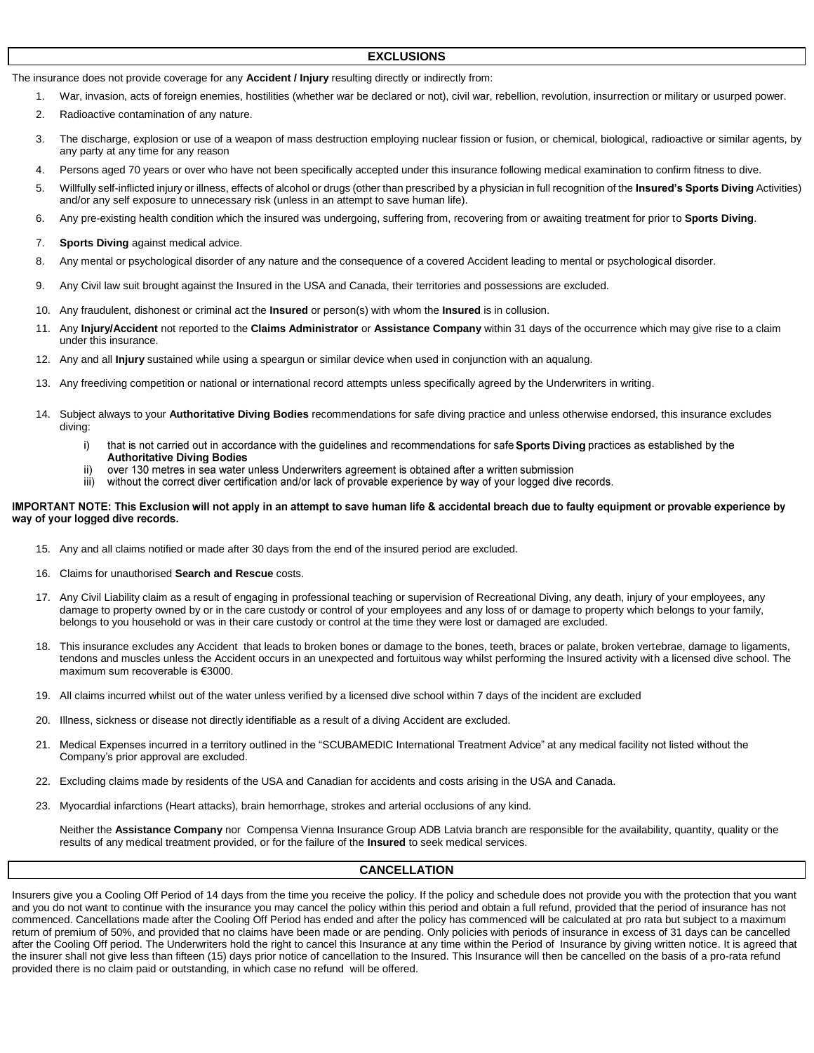#### **EXCLUSIONS**

The insurance does not provide coverage for any **Accident / Injury** resulting directly or indirectly from:

- 1. War, invasion, acts of foreign enemies, hostilities (whether war be declared or not), civil war, rebellion, revolution, insurrection or military or usurped power.
- 2. Radioactive contamination of any nature.
- 3. The discharge, explosion or use of a weapon of mass destruction employing nuclear fission or fusion, or chemical, biological, radioactive or similar agents, by any party at any time for any reason
- 4. Persons aged 70 years or over who have not been specifically accepted under this insurance following medical examination to confirm fitness to dive.
- 5. Willfully self-inflicted injury or illness, effects of alcohol or drugs (other than prescribed by a physician in full recognition of the **Insured's Sports Diving** Activities) and/or any self exposure to unnecessary risk (unless in an attempt to save human life).
- 6. Any pre-existing health condition which the insured was undergoing, suffering from, recovering from or awaiting treatment for prior to **Sports Diving**.
- 7. **Sports Diving** against medical advice.
- 8. Any mental or psychological disorder of any nature and the consequence of a covered Accident leading to mental or psychological disorder.
- 9. Any Civil law suit brought against the Insured in the USA and Canada, their territories and possessions are excluded.
- 10. Any fraudulent, dishonest or criminal act the **Insured** or person(s) with whom the **Insured** is in collusion.
- 11. Any **Injury/Accident** not reported to the **Claims Administrator** or **Assistance Company** within 31 days of the occurrence which may give rise to a claim under this insurance.
- 12. Any and all **Injury** sustained while using a speargun or similar device when used in conjunction with an aqualung.
- 13. Any freediving competition or national or international record attempts unless specifically agreed by the Underwriters in writing.
- 14. Subject always to your **Authoritative Diving Bodies** recommendations for safe diving practice and unless otherwise endorsed, this insurance excludes diving:
	- i) that is not carried out in accordance with the guidelines and recommendations for safe Sports Diving practices as established by the **Authoritative Diving Bodies**
	- over 130 metres in sea water unless Underwriters agreement is obtained after a written submission ii)
	- $\overline{\mathsf{iii}}$ without the correct diver certification and/or lack of provable experience by way of your logged dive records.

#### IMPORTANT NOTE: This Exclusion will not apply in an attempt to save human life & accidental breach due to faulty equipment or provable experience by way of your logged dive records.

- 15. Any and all claims notified or made after 30 days from the end of the insured period are excluded.
- 16. Claims for unauthorised **Search and Rescue** costs.
- 17. Any Civil Liability claim as a result of engaging in professional teaching or supervision of Recreational Diving, any death, injury of your employees, any damage to property owned by or in the care custody or control of your employees and any loss of or damage to property which belongs to your family, belongs to you household or was in their care custody or control at the time they were lost or damaged are excluded.
- 18. This insurance excludes any Accident that leads to broken bones or damage to the bones, teeth, braces or palate, broken vertebrae, damage to ligaments, tendons and muscles unless the Accident occurs in an unexpected and fortuitous way whilst performing the Insured activity with a licensed dive school. The maximum sum recoverable is €3000.
- 19. All claims incurred whilst out of the water unless verified by a licensed dive school within 7 days of the incident are excluded
- 20. Illness, sickness or disease not directly identifiable as a result of a diving Accident are excluded.
- 21. Medical Expenses incurred in a territory outlined in the "SCUBAMEDIC International Treatment Advice" at any medical facility not listed without the Company's prior approval are excluded.
- 22. Excluding claims made by residents of the USA and Canadian for accidents and costs arising in the USA and Canada.
- 23. Myocardial infarctions (Heart attacks), brain hemorrhage, strokes and arterial occlusions of any kind.

Neither the **Assistance Company** nor Compensa Vienna Insurance Group ADB Latvia branch are responsible for the availability, quantity, quality or the results of any medical treatment provided, or for the failure of the **Insured** to seek medical services.

#### **CANCELLATION**

Insurers give you a Cooling Off Period of 14 days from the time you receive the policy. If the policy and schedule does not provide you with the protection that you want and you do not want to continue with the insurance you may cancel the policy within this period and obtain a full refund, provided that the period of insurance has not commenced. Cancellations made after the Cooling Off Period has ended and after the policy has commenced will be calculated at pro rata but subject to a maximum return of premium of 50%, and provided that no claims have been made or are pending. Only policies with periods of insurance in excess of 31 days can be cancelled after the Cooling Off period. The Underwriters hold the right to cancel this Insurance at any time within the Period of Insurance by giving written notice. It is agreed that the insurer shall not give less than fifteen (15) days prior notice of cancellation to the Insured. This Insurance will then be cancelled on the basis of a pro-rata refund provided there is no claim paid or outstanding, in which case no refund will be offered.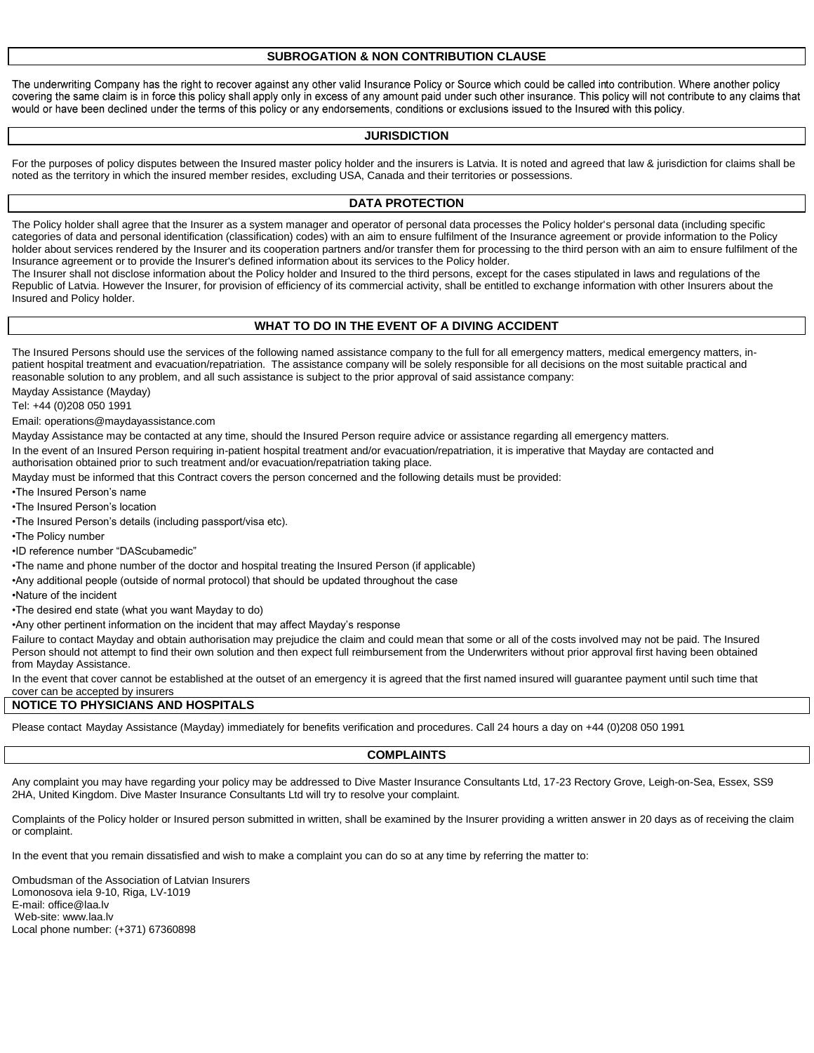#### **SUBROGATION & NON CONTRIBUTION CLAUSE**

The underwriting Company has the right to recover against any other valid Insurance Policy or Source which could be called into contribution. Where another policy covering the same claim is in force this policy shall apply only in excess of any amount paid under such other insurance. This policy will not contribute to any claims that would or have been declined under the terms of this policy or any endorsements, conditions or exclusions issued to the Insured with this policy.

#### **JURISDICTION**

For the purposes of policy disputes between the Insured master policy holder and the insurers is Latvia. It is noted and agreed that law & jurisdiction for claims shall be noted as the territory in which the insured member resides, excluding USA, Canada and their territories or possessions.

#### **DATA PROTECTION**

The Policy holder shall agree that the Insurer as a system manager and operator of personal data processes the Policy holder's personal data (including specific categories of data and personal identification (classification) codes) with an aim to ensure fulfilment of the Insurance agreement or provide information to the Policy holder about services rendered by the Insurer and its cooperation partners and/or transfer them for processing to the third person with an aim to ensure fulfilment of the Insurance agreement or to provide the Insurer's defined information about its services to the Policy holder.

The Insurer shall not disclose information about the Policy holder and Insured to the third persons, except for the cases stipulated in laws and regulations of the Republic of Latvia. However the Insurer, for provision of efficiency of its commercial activity, shall be entitled to exchange information with other Insurers about the Insured and Policy holder.

#### **WHAT TO DO IN THE EVENT OF A DIVING ACCIDENT**

The Insured Persons should use the services of the following named assistance company to the full for all emergency matters, medical emergency matters, inpatient hospital treatment and evacuation/repatriation. The assistance company will be solely responsible for all decisions on the most suitable practical and reasonable solution to any problem, and all such assistance is subject to the prior approval of said assistance company:

Mayday Assistance (Mayday)

Tel: +44 (0)208 050 1991

Email: operations@maydayassistance.com

Mayday Assistance may be contacted at any time, should the Insured Person require advice or assistance regarding all emergency matters.

In the event of an Insured Person requiring in-patient hospital treatment and/or evacuation/repatriation, it is imperative that Mayday are contacted and authorisation obtained prior to such treatment and/or evacuation/repatriation taking place.

Mayday must be informed that this Contract covers the person concerned and the following details must be provided:

•The Insured Person's name

•The Insured Person's location

•The Insured Person's details (including passport/visa etc).

•The Policy number

•ID reference number "DAScubamedic"

•The name and phone number of the doctor and hospital treating the Insured Person (if applicable)

•Any additional people (outside of normal protocol) that should be updated throughout the case

•Nature of the incident

•The desired end state (what you want Mayday to do)

•Any other pertinent information on the incident that may affect Mayday's response

Failure to contact Mayday and obtain authorisation may prejudice the claim and could mean that some or all of the costs involved may not be paid. The Insured Person should not attempt to find their own solution and then expect full reimbursement from the Underwriters without prior approval first having been obtained from Mayday Assistance.

In the event that cover cannot be established at the outset of an emergency it is agreed that the first named insured will guarantee payment until such time that cover can be accepted by insurers

#### **NOTICE TO PHYSICIANS AND HOSPITALS**

Please contact Mayday Assistance (Mayday) immediately for benefits verification and procedures. Call 24 hours a day on +44 (0)208 050 1991

#### **COMPLAINTS**

Any complaint you may have regarding your policy may be addressed to Dive Master Insurance Consultants Ltd, 17-23 Rectory Grove, Leigh-on-Sea, Essex, SS9 2HA, United Kingdom. Dive Master Insurance Consultants Ltd will try to resolve your complaint.

Complaints of the Policy holder or Insured person submitted in written, shall be examined by the Insurer providing a written answer in 20 days as of receiving the claim or complaint.

In the event that you remain dissatisfied and wish to make a complaint you can do so at any time by referring the matter to:

Ombudsman of the Association of Latvian Insurers Lomonosova iela 9-10, Riga, LV-1019 E-mail: office@laa.lv Web-site: www.laa.lv Local phone number: (+371) 67360898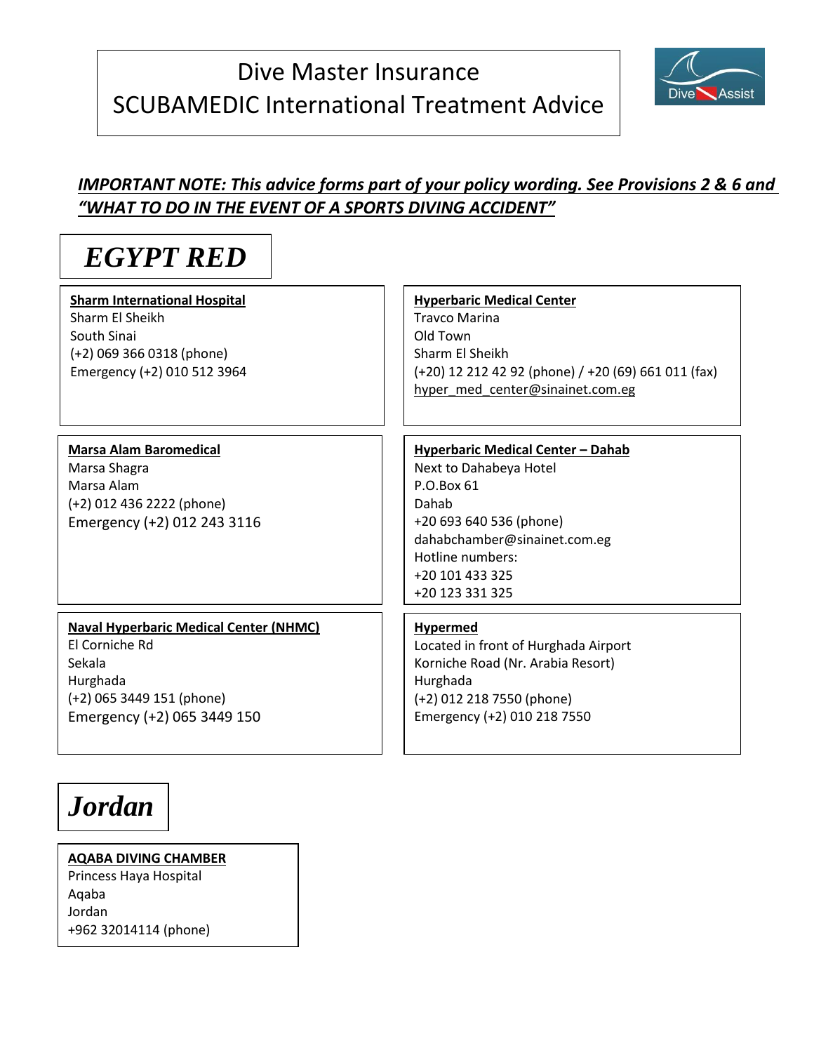# Dive Master Insurance SCUBAMEDIC International Treatment Advice



# *IMPORTANT NOTE: This advice forms part of your policy wording. See Provisions 2 & 6 and "WHAT TO DO IN THE EVENT OF A SPORTS DIVING ACCIDENT"*

# *EGYPT RED*

**Sharm International Hospital** Sharm El Sheikh South Sinai (+2) 069 366 0318 (phone) Emergency (+2) 010 512 3964

# **[Hyperbaric Medical Center](http://http/www.sharmchamber.com/)**

Travco Marina Old Town Sharm El Sheikh (+20) 12 212 42 92 (phone) / +20 (69) 661 011 (fax) [hyper\\_med\\_center@sinainet.com.eg](mailto:hyper_med_center@sinainet.com.eg)

# **Marsa Alam Baromedical**

Marsa Shagra Marsa Alam (+2) 012 436 2222 (phone) Emergency (+2) 012 243 3116

### **Hyperbaric Medical Center – Dahab**

Next to Dahabeya Hotel P.O.Box 61 Dahab +20 693 640 536 (phone) dahabchamber@sinainet.com.eg Hotline numbers: +20 101 433 325 +20 123 331 325

### **Naval Hyperbaric Medical Center (NHMC)** El Corniche Rd Sekala Hurghada (+2) 065 3449 151 (phone) Emergency (+2) 065 3449 150

### **Hypermed**

Located in front of Hurghada Airport Korniche Road (Nr. Arabia Resort) Hurghada (+2) 012 218 7550 (phone) Emergency (+2) 010 218 7550

# *Jordan*

**[AQABA DIVING CHAMBER](http://http/www.jrms.gov.jo/Default.aspx?tabid=154&language=en-US)** Princess Haya Hospital Aqaba Jordan +962 32014114 (phone)